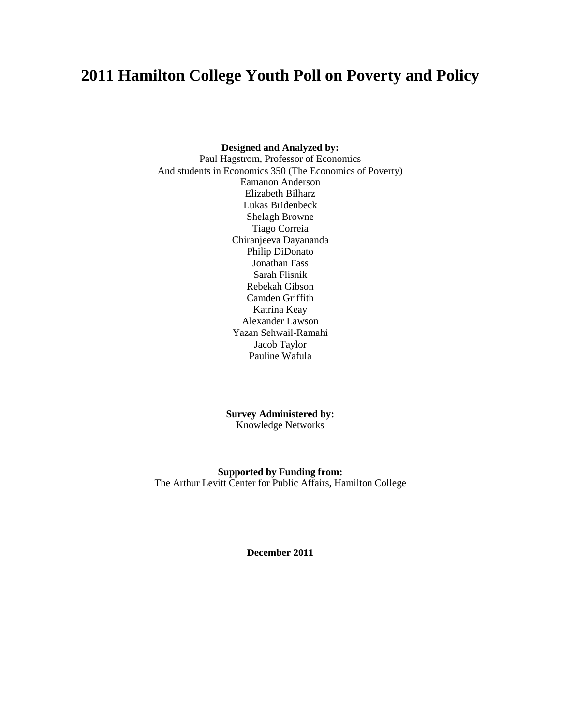# **2011 Hamilton College Youth Poll on Poverty and Policy**

#### **Designed and Analyzed by:**

Paul Hagstrom, Professor of Economics And students in Economics 350 (The Economics of Poverty) Eamanon Anderson Elizabeth Bilharz Lukas Bridenbeck Shelagh Browne Tiago Correia Chiranjeeva Dayananda Philip DiDonato Jonathan Fass Sarah Flisnik Rebekah Gibson Camden Griffith Katrina Keay Alexander Lawson Yazan Sehwail-Ramahi Jacob Taylor Pauline Wafula

> **Survey Administered by:** Knowledge Networks

<span id="page-0-0"></span>**Supported by Funding from:** The Arthur Levitt Center for Public Affairs, Hamilton College

**December 2011**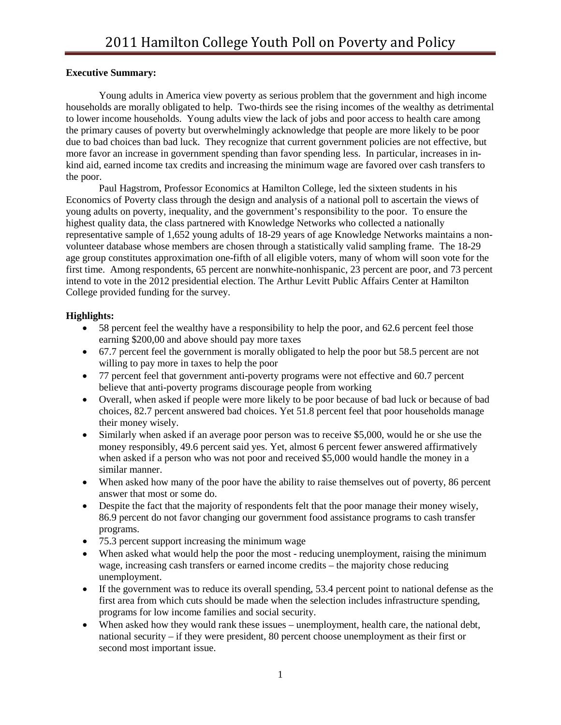## **Executive Summary:**

Young adults in America view poverty as serious problem that the government and high income households are morally obligated to help. Two-thirds see the rising incomes of the wealthy as detrimental to lower income households. Young adults view the lack of jobs and poor access to health care among the primary causes of poverty but overwhelmingly acknowledge that people are more likely to be poor due to bad choices than bad luck. They recognize that current government policies are not effective, but more favor an increase in government spending than favor spending less. In particular, increases in inkind aid, earned income tax credits and increasing the minimum wage are favored over cash transfers to the poor.

Paul Hagstrom, Professor Economics at Hamilton College, led the sixteen students in his Economics of Poverty class through the design and analysis of a national poll to ascertain the views of young adults on poverty, inequality, and the government's responsibility to the poor. To ensure the highest quality data, the class partnered with Knowledge Networks who collected a nationally representative sample of 1,652 young adults of 18-29 years of age Knowledge Networks maintains a nonvolunteer database whose members are chosen through a statistically valid sampling frame. The 18-29 age group constitutes approximation one-fifth of all eligible voters, many of whom will soon vote for the first time. Among respondents, 65 percent are nonwhite-nonhispanic, 23 percent are poor, and 73 percent intend to vote in the 2012 presidential election. The Arthur Levitt Public Affairs Center at Hamilton College provided funding for the survey.

# **Highlights:**

- 58 percent feel the wealthy have a responsibility to help the poor, and 62.6 percent feel those earning \$200,00 and above should pay more taxes
- 67.7 percent feel the government is morally obligated to help the poor but 58.5 percent are not willing to pay more in taxes to help the poor
- 77 percent feel that government anti-poverty programs were not effective and 60.7 percent believe that anti-poverty programs discourage people from working
- Overall, when asked if people were more likely to be poor because of bad luck or because of bad choices, 82.7 percent answered bad choices. Yet 51.8 percent feel that poor households manage their money wisely.
- Similarly when asked if an average poor person was to receive \$5,000, would he or she use the money responsibly, 49.6 percent said yes. Yet, almost 6 percent fewer answered affirmatively when asked if a person who was not poor and received \$5,000 would handle the money in a similar manner.
- When asked how many of the poor have the ability to raise themselves out of poverty, 86 percent answer that most or some do.
- Despite the fact that the majority of respondents felt that the poor manage their money wisely, 86.9 percent do not favor changing our government food assistance programs to cash transfer programs.
- 75.3 percent support increasing the minimum wage
- When asked what would help the poor the most reducing unemployment, raising the minimum wage, increasing cash transfers or earned income credits – the majority chose reducing unemployment.
- If the government was to reduce its overall spending, 53.4 percent point to national defense as the first area from which cuts should be made when the selection includes infrastructure spending, programs for low income families and social security.
- When asked how they would rank these issues unemployment, health care, the national debt, national security – if they were president, 80 percent choose unemployment as their first or second most important issue.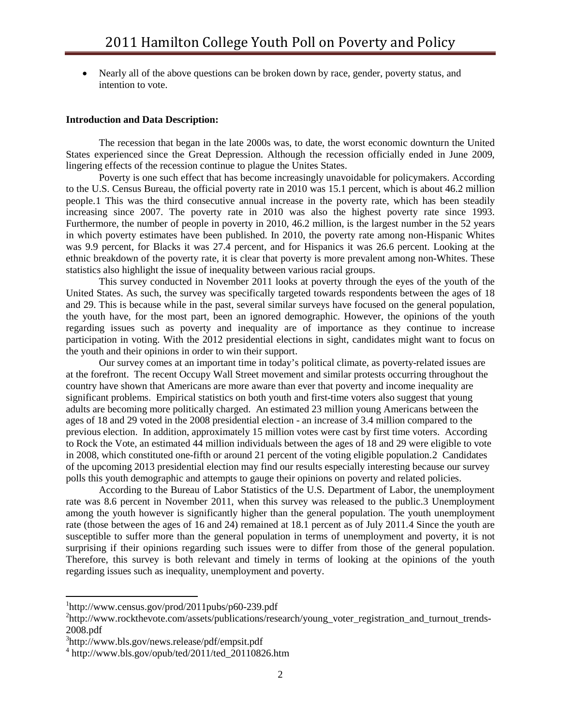• Nearly all of the above questions can be broken down by race, gender, poverty status, and intention to vote.

#### **Introduction and Data Description:**

The recession that began in the late 2000s was, to date, the worst economic downturn the United States experienced since the Great Depression. Although the recession officially ended in June 2009, lingering effects of the recession continue to plague the Unites States.

Poverty is one such effect that has become increasingly unavoidable for policymakers. According to the U.S. Census Bureau, the official poverty rate in 2010 was 15.1 percent, which is about 46.2 million people.[1](#page-0-0) This was the third consecutive annual increase in the poverty rate, which has been steadily increasing since 2007. The poverty rate in 2010 was also the highest poverty rate since 1993. Furthermore, the number of people in poverty in 2010, 46.2 million, is the largest number in the 52 years in which poverty estimates have been published. In 2010, the poverty rate among non-Hispanic Whites was 9.9 percent, for Blacks it was 27.4 percent, and for Hispanics it was 26.6 percent. Looking at the ethnic breakdown of the poverty rate, it is clear that poverty is more prevalent among non-Whites. These statistics also highlight the issue of inequality between various racial groups.

This survey conducted in November 2011 looks at poverty through the eyes of the youth of the United States. As such, the survey was specifically targeted towards respondents between the ages of 18 and 29. This is because while in the past, several similar surveys have focused on the general population, the youth have, for the most part, been an ignored demographic. However, the opinions of the youth regarding issues such as poverty and inequality are of importance as they continue to increase participation in voting. With the 2012 presidential elections in sight, candidates might want to focus on the youth and their opinions in order to win their support.

Our survey comes at an important time in today's political climate, as poverty-related issues are at the forefront. The recent Occupy Wall Street movement and similar protests occurring throughout the country have shown that Americans are more aware than ever that poverty and income inequality are significant problems. Empirical statistics on both youth and first-time voters also suggest that young adults are becoming more politically charged. An estimated 23 million young Americans between the ages of 18 and 29 voted in the 2008 presidential election - an increase of 3.4 million compared to the previous election. In addition, approximately 15 million votes were cast by first time voters. According to Rock the Vote, an estimated 44 million individuals between the ages of 18 and 29 were eligible to vote in 2008, which constituted one-fifth or around 21 percent of the voting eligible population.[2](#page-2-0) Candidates of the upcoming 2013 presidential election may find our results especially interesting because our survey polls this youth demographic and attempts to gauge their opinions on poverty and related policies.

According to the Bureau of Labor Statistics of the U.S. Department of Labor, the unemployment rate was 8.6 percent in November 2011, when this survey was released to the public.[3](#page-2-1) Unemployment among the youth however is significantly higher than the general population. The youth unemployment rate (those between the ages of 16 and 24) remained at 18.1 percent as of July 2011.[4](#page-2-2) Since the youth are susceptible to suffer more than the general population in terms of unemployment and poverty, it is not surprising if their opinions regarding such issues were to differ from those of the general population. Therefore, this survey is both relevant and timely in terms of looking at the opinions of the youth regarding issues such as inequality, unemployment and poverty.

<span id="page-2-3"></span> $\frac{1}{1}$  ${}^{1}$ http://www.census.gov/prod/2011pubs/p60-239.pdf

<span id="page-2-0"></span><sup>&</sup>lt;sup>2</sup>http://www.rockthevote.com/assets/publications/research/young\_voter\_registration\_and\_turnout\_trends-2008.pdf

<span id="page-2-1"></span><sup>3</sup> http://www.bls.gov/news.release/pdf/empsit.pdf

<span id="page-2-2"></span> $4 \text{ http://www.bls.gov/opub/ted/2011/ted\_20110826.htm}$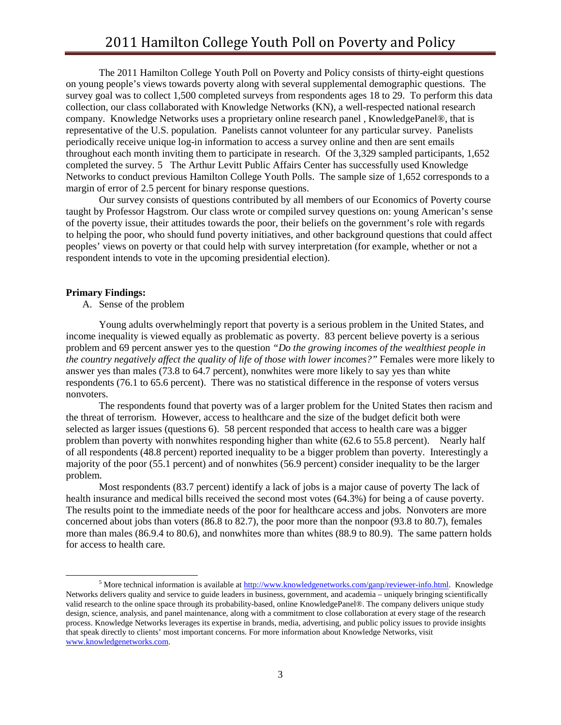The 2011 Hamilton College Youth Poll on Poverty and Policy consists of thirty-eight questions on young people's views towards poverty along with several supplemental demographic questions. The survey goal was to collect 1,500 completed surveys from respondents ages 18 to 29. To perform this data collection, our class collaborated with Knowledge Networks (KN), a well-respected national research company. Knowledge Networks uses a proprietary online research panel , KnowledgePanel®, that is representative of the U.S. population. Panelists cannot volunteer for any particular survey. Panelists periodically receive unique log-in information to access a survey online and then are sent emails throughout each month inviting them to participate in research. Of the 3,329 sampled participants, 1,652 completed the survey. [5](#page-2-3) The Arthur Levitt Public Affairs Center has successfully used Knowledge Networks to conduct previous Hamilton College Youth Polls. The sample size of 1,652 corresponds to a margin of error of 2.5 percent for binary response questions.

Our survey consists of questions contributed by all members of our Economics of Poverty course taught by Professor Hagstrom. Our class wrote or compiled survey questions on: young American's sense of the poverty issue, their attitudes towards the poor, their beliefs on the government's role with regards to helping the poor, who should fund poverty initiatives, and other background questions that could affect peoples' views on poverty or that could help with survey interpretation (for example, whether or not a respondent intends to vote in the upcoming presidential election).

#### **Primary Findings:**

A. Sense of the problem

Young adults overwhelmingly report that poverty is a serious problem in the United States, and income inequality is viewed equally as problematic as poverty. 83 percent believe poverty is a serious problem and 69 percent answer yes to the question *"Do the growing incomes of the wealthiest people in the country negatively affect the quality of life of those with lower incomes?"* Females were more likely to answer yes than males (73.8 to 64.7 percent), nonwhites were more likely to say yes than white respondents (76.1 to 65.6 percent). There was no statistical difference in the response of voters versus nonvoters.

The respondents found that poverty was of a larger problem for the United States then racism and the threat of terrorism. However, access to healthcare and the size of the budget deficit both were selected as larger issues (questions 6). 58 percent responded that access to health care was a bigger problem than poverty with nonwhites responding higher than white (62.6 to 55.8 percent). Nearly half of all respondents (48.8 percent) reported inequality to be a bigger problem than poverty. Interestingly a majority of the poor (55.1 percent) and of nonwhites (56.9 percent) consider inequality to be the larger problem.

Most respondents (83.7 percent) identify a lack of jobs is a major cause of poverty The lack of health insurance and medical bills received the second most votes (64.3%) for being a of cause poverty. The results point to the immediate needs of the poor for healthcare access and jobs. Nonvoters are more concerned about jobs than voters (86.8 to 82.7), the poor more than the nonpoor (93.8 to 80.7), females more than males (86.9.4 to 80.6), and nonwhites more than whites (88.9 to 80.9). The same pattern holds for access to health care.

 <sup>5</sup> More technical information is available at [http://www.knowledgenetworks.com/ganp/reviewer-info.html.](http://www.knowledgenetworks.com/ganp/reviewer-info.html) Knowledge Networks delivers quality and service to guide leaders in business, government, and academia – uniquely bringing scientifically valid research to the online space through its probability-based, online KnowledgePanel®. The company delivers unique study design, science, analysis, and panel maintenance, along with a commitment to close collaboration at every stage of the research process. Knowledge Networks leverages its expertise in brands, media, advertising, and public policy issues to provide insights that speak directly to clients' most important concerns. For more information about Knowledge Networks, visit [www.knowledgenetworks.com.](http://www.knowledgenetworks.com/)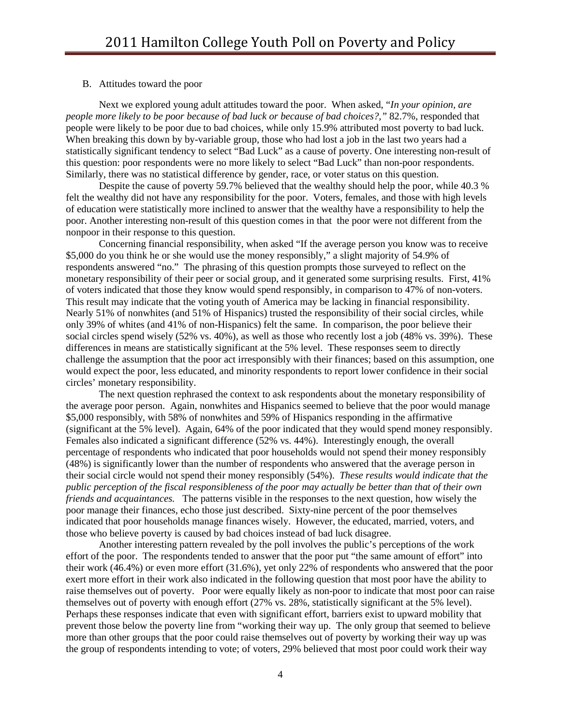#### B. Attitudes toward the poor

Next we explored young adult attitudes toward the poor. When asked, "*In your opinion, are people more likely to be poor because of bad luck or because of bad choices?,"* 82.7%, responded that people were likely to be poor due to bad choices, while only 15.9% attributed most poverty to bad luck. When breaking this down by by-variable group, those who had lost a job in the last two years had a statistically significant tendency to select "Bad Luck" as a cause of poverty. One interesting non-result of this question: poor respondents were no more likely to select "Bad Luck" than non-poor respondents. Similarly, there was no statistical difference by gender, race, or voter status on this question.

Despite the cause of poverty 59.7% believed that the wealthy should help the poor, while 40.3 % felt the wealthy did not have any responsibility for the poor. Voters, females, and those with high levels of education were statistically more inclined to answer that the wealthy have a responsibility to help the poor. Another interesting non-result of this question comes in that the poor were not different from the nonpoor in their response to this question.

Concerning financial responsibility, when asked "If the average person you know was to receive \$5,000 do you think he or she would use the money responsibly," a slight majority of 54.9% of respondents answered "no." The phrasing of this question prompts those surveyed to reflect on the monetary responsibility of their peer or social group, and it generated some surprising results. First, 41% of voters indicated that those they know would spend responsibly, in comparison to 47% of non-voters. This result may indicate that the voting youth of America may be lacking in financial responsibility. Nearly 51% of nonwhites (and 51% of Hispanics) trusted the responsibility of their social circles, while only 39% of whites (and 41% of non-Hispanics) felt the same. In comparison, the poor believe their social circles spend wisely (52% vs. 40%), as well as those who recently lost a job (48% vs. 39%). These differences in means are statistically significant at the 5% level. These responses seem to directly challenge the assumption that the poor act irresponsibly with their finances; based on this assumption, one would expect the poor, less educated, and minority respondents to report lower confidence in their social circles' monetary responsibility.

The next question rephrased the context to ask respondents about the monetary responsibility of the average poor person. Again, nonwhites and Hispanics seemed to believe that the poor would manage \$5,000 responsibly, with 58% of nonwhites and 59% of Hispanics responding in the affirmative (significant at the 5% level). Again, 64% of the poor indicated that they would spend money responsibly. Females also indicated a significant difference (52% vs. 44%). Interestingly enough, the overall percentage of respondents who indicated that poor households would not spend their money responsibly (48%) is significantly lower than the number of respondents who answered that the average person in their social circle would not spend their money responsibly (54%). *These results would indicate that the public perception of the fiscal responsibleness of the poor may actually be better than that of their own friends and acquaintances.* The patterns visible in the responses to the next question, how wisely the poor manage their finances, echo those just described. Sixty-nine percent of the poor themselves indicated that poor households manage finances wisely. However, the educated, married, voters, and those who believe poverty is caused by bad choices instead of bad luck disagree.

Another interesting pattern revealed by the poll involves the public's perceptions of the work effort of the poor. The respondents tended to answer that the poor put "the same amount of effort" into their work (46.4%) or even more effort (31.6%), yet only 22% of respondents who answered that the poor exert more effort in their work also indicated in the following question that most poor have the ability to raise themselves out of poverty. Poor were equally likely as non-poor to indicate that most poor can raise themselves out of poverty with enough effort (27% vs. 28%, statistically significant at the 5% level). Perhaps these responses indicate that even with significant effort, barriers exist to upward mobility that prevent those below the poverty line from "working their way up. The only group that seemed to believe more than other groups that the poor could raise themselves out of poverty by working their way up was the group of respondents intending to vote; of voters, 29% believed that most poor could work their way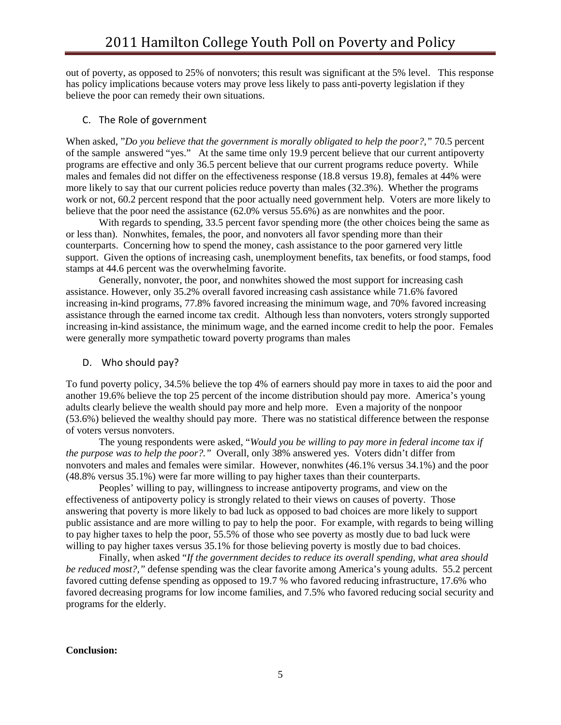out of poverty, as opposed to 25% of nonvoters; this result was significant at the 5% level. This response has policy implications because voters may prove less likely to pass anti-poverty legislation if they believe the poor can remedy their own situations.

## C. The Role of government

When asked, "*Do you believe that the government is morally obligated to help the poor?,"* 70.5 percent of the sample answered "yes." At the same time only 19.9 percent believe that our current antipoverty programs are effective and only 36.5 percent believe that our current programs reduce poverty. While males and females did not differ on the effectiveness response (18.8 versus 19.8), females at 44% were more likely to say that our current policies reduce poverty than males (32.3%). Whether the programs work or not, 60.2 percent respond that the poor actually need government help. Voters are more likely to believe that the poor need the assistance (62.0% versus 55.6%) as are nonwhites and the poor.

With regards to spending, 33.5 percent favor spending more (the other choices being the same as or less than). Nonwhites, females, the poor, and nonvoters all favor spending more than their counterparts. Concerning how to spend the money, cash assistance to the poor garnered very little support. Given the options of increasing cash, unemployment benefits, tax benefits, or food stamps, food stamps at 44.6 percent was the overwhelming favorite.

Generally, nonvoter, the poor, and nonwhites showed the most support for increasing cash assistance. However, only 35.2% overall favored increasing cash assistance while 71.6% favored increasing in-kind programs, 77.8% favored increasing the minimum wage, and 70% favored increasing assistance through the earned income tax credit. Although less than nonvoters, voters strongly supported increasing in-kind assistance, the minimum wage, and the earned income credit to help the poor. Females were generally more sympathetic toward poverty programs than males

## D. Who should pay?

To fund poverty policy, 34.5% believe the top 4% of earners should pay more in taxes to aid the poor and another 19.6% believe the top 25 percent of the income distribution should pay more. America's young adults clearly believe the wealth should pay more and help more. Even a majority of the nonpoor (53.6%) believed the wealthy should pay more. There was no statistical difference between the response of voters versus nonvoters.

The young respondents were asked, "*Would you be willing to pay more in federal income tax if the purpose was to help the poor?."* Overall, only 38% answered yes. Voters didn't differ from nonvoters and males and females were similar. However, nonwhites (46.1% versus 34.1%) and the poor (48.8% versus 35.1%) were far more willing to pay higher taxes than their counterparts.

Peoples' willing to pay, willingness to increase antipoverty programs, and view on the effectiveness of antipoverty policy is strongly related to their views on causes of poverty. Those answering that poverty is more likely to bad luck as opposed to bad choices are more likely to support public assistance and are more willing to pay to help the poor. For example, with regards to being willing to pay higher taxes to help the poor, 55.5% of those who see poverty as mostly due to bad luck were willing to pay higher taxes versus 35.1% for those believing poverty is mostly due to bad choices.

Finally, when asked "*If the government decides to reduce its overall spending, what area should be reduced most?,"* defense spending was the clear favorite among America's young adults. 55.2 percent favored cutting defense spending as opposed to 19.7 % who favored reducing infrastructure, 17.6% who favored decreasing programs for low income families, and 7.5% who favored reducing social security and programs for the elderly.

### **Conclusion:**